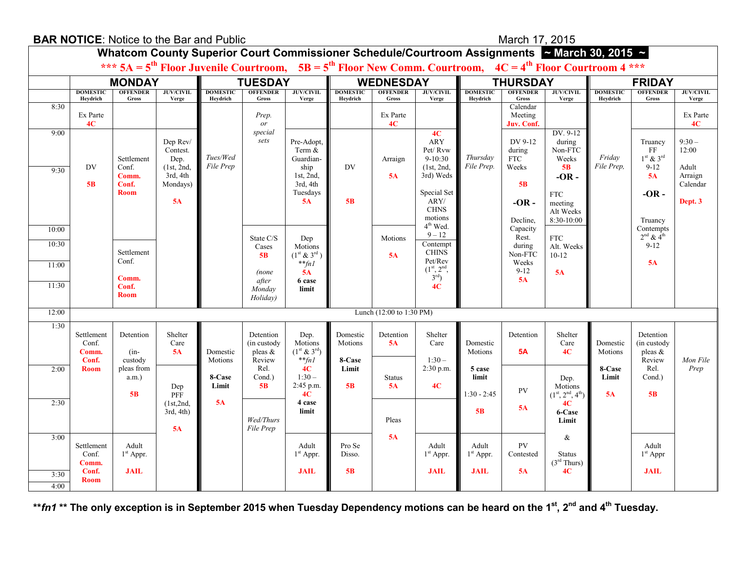| <b>BAR NOTICE:</b> Notice to the Bar and Public |                               |                                   |                                            |                             |                                         |                                                       |                             | March 17, 2015                  |                                                                 |                             |                                          |                                                                                                                          |                             |                                            |                                |
|-------------------------------------------------|-------------------------------|-----------------------------------|--------------------------------------------|-----------------------------|-----------------------------------------|-------------------------------------------------------|-----------------------------|---------------------------------|-----------------------------------------------------------------|-----------------------------|------------------------------------------|--------------------------------------------------------------------------------------------------------------------------|-----------------------------|--------------------------------------------|--------------------------------|
|                                                 |                               |                                   |                                            |                             |                                         |                                                       |                             |                                 |                                                                 |                             |                                          | Whatcom County Superior Court Commissioner Schedule/Courtroom Assignments ~ March 30, 2015 ~                             |                             |                                            |                                |
|                                                 |                               |                                   |                                            |                             |                                         |                                                       |                             |                                 |                                                                 |                             |                                          | *** $5A = 5^{th}$ Floor Juvenile Courtroom, $5B = 5^{th}$ Floor New Comm. Courtroom, $4C = 4^{th}$ Floor Courtroom 4 *** |                             |                                            |                                |
|                                                 |                               | <b>MONDAY</b>                     |                                            |                             | <b>TUESDAY</b>                          |                                                       |                             | <b>WEDNESDAY</b>                |                                                                 |                             | <b>THURSDAY</b>                          |                                                                                                                          |                             | <b>FRIDAY</b>                              |                                |
|                                                 | <b>DOMESTIC</b><br>Heydrich   | <b>OFFENDER</b><br>Gross          | <b>JUV/CIVIL</b><br>Verge                  | <b>DOMESTIC</b><br>Heydrich | <b>OFFENDER</b><br>Gross                | <b>JUV/CIVIL</b><br>Verge                             | <b>DOMESTIC</b><br>Heydrich | <b>OFFENDER</b><br><b>Gross</b> | <b>JUV/CIVIL</b><br>Verge                                       | <b>DOMESTIC</b><br>Heydrich | <b>OFFENDER</b><br>Gross                 | <b>JUV/CIVIL</b><br>Verge                                                                                                | <b>DOMESTIC</b><br>Heydrich | <b>OFFENDER</b><br>Gross                   | <b>JUV/CIVIL</b><br>Verge      |
| 8:30                                            | Ex Parte<br>4C                |                                   |                                            |                             | Prep.<br>or                             |                                                       |                             | Ex Parte<br>4C                  |                                                                 |                             | Calendar<br>Meeting<br>Juv. Conf.        |                                                                                                                          |                             |                                            | Ex Parte<br>4C                 |
| 9:00                                            | DV                            | Settlement<br>Conf.               | Dep Rev/<br>Contest.<br>Dep.<br>(1st, 2nd, | Tues/Wed<br>File Prep       | special<br>sets                         | Pre-Adopt,<br>Term &<br>Guardian-<br>ship             | DV                          | Arraign                         | 4C<br><b>ARY</b><br>Pet/Rvw<br>$9-10:30$<br>(1st, 2nd,          | Thursday<br>File Prep.      | DV 9-12<br>during<br><b>FTC</b><br>Weeks | DV. 9-12<br>during<br>Non-FTC<br>Weeks<br><b>5B</b>                                                                      | Friday<br>File Prep.        | Truancy<br>FF<br>$1st$ & $3rd$<br>$9 - 12$ | $9:30-$<br>12:00<br>Adult      |
| 9:30                                            | 5B                            | Comm.<br>Conf.<br><b>Room</b>     | 3rd, 4th<br>Mondays)<br>5A                 |                             |                                         | 1st, 2nd,<br>3rd, 4th<br>Tuesdays<br><b>5A</b>        | 5B                          | 5A                              | 3rd) Weds<br>Special Set<br>ARY/<br>${\rm CHNS}$                |                             | <b>5B</b><br>$-OR -$                     | $-OR -$<br><b>FTC</b><br>meeting                                                                                         |                             | 5A<br>$-OR -$                              | Arraign<br>Calendar<br>Dept. 3 |
|                                                 |                               |                                   |                                            |                             |                                         |                                                       |                             |                                 | motions                                                         |                             | Decline.                                 | Alt Weeks<br>8:30-10:00                                                                                                  |                             | Truancy                                    |                                |
| 10:00<br>10:30                                  |                               |                                   |                                            |                             | State C/S<br>Cases                      | Dep<br>Motions                                        |                             | Motions                         | 4 <sup>th</sup> Wed.<br>$9 - 12$<br>Contempt                    |                             | Capacity<br>Rest.<br>during              | ${\rm FTC}$<br>Alt. Weeks                                                                                                |                             | Contempts<br>$2nd$ & $4th$<br>$9 - 12$     |                                |
| 11:00                                           |                               | Settlement<br>Conf.<br>Comm.      |                                            |                             | 5B<br>(none                             | $(1^{st} \& 3^{rd})$<br>$*$ fnl<br>5A                 |                             | 5A                              | <b>CHINS</b><br>Pet/Rev<br>$(1^{st}, 2^{nd},$<br>$3^{\rm rd}$ ) |                             | Non-FTC<br>Weeks<br>$9 - 12$             | $10-12$<br>5A                                                                                                            |                             | 5A                                         |                                |
| 11:30                                           |                               | Conf.<br><b>Room</b>              |                                            |                             | after<br>Monday<br>Holiday)             | 6 case<br>limit                                       |                             |                                 | 4C                                                              |                             | 5A                                       |                                                                                                                          |                             |                                            |                                |
| 12:00                                           |                               |                                   |                                            |                             |                                         |                                                       |                             | Lunch (12:00 to 1:30 PM)        |                                                                 |                             |                                          |                                                                                                                          |                             |                                            |                                |
| 1:30                                            | Settlement<br>Conf.<br>Comm.  | Detention<br>$(in-$               | Shelter<br>Care<br>5A                      | Domestic                    | Detention<br>(in custody)<br>pleas $\&$ | Dep.<br>Motions<br>$(1^{\text{st}} \& 3^{\text{rd}})$ | Domestic<br>Motions         | Detention<br>5A                 | Shelter<br>Care                                                 | Domestic<br>Motions         | Detention<br><b>5A</b>                   | Shelter<br>Care<br>4C                                                                                                    | Domestic<br>Motions         | Detention<br>(in custody<br>pleas &        |                                |
| 2:00                                            | Conf.<br><b>Room</b>          | custody<br>pleas from<br>$a.m.$ ) | Dep                                        | Motions<br>8-Case<br>Limit  | Review<br>Rel.<br>Cond.)<br>5B          | $*$ $fnl$<br>4C<br>$1:30-$<br>2:45 p.m.               | 8-Case<br>Limit<br>5B       | <b>Status</b><br>5A             | $1:30-$<br>2:30 p.m.<br>4C                                      | 5 case<br>limit             | <b>PV</b>                                | Dep.<br>Motions                                                                                                          | 8-Case<br>Limit             | Review<br>Rel.<br>Cond.)                   | Mon File<br>Prep               |
| 2:30                                            |                               | 5B                                | PFF<br>(1st,2nd,                           | 5A                          |                                         | 4C<br>4 case                                          |                             |                                 |                                                                 | $1:30 - 2:45$               |                                          | $(1st, 2nd, 4th)$<br>4C                                                                                                  | 5A                          | 5B                                         |                                |
|                                                 |                               |                                   | $3rd, 4th$ )<br>5A                         |                             | Wed/Thurs<br>File Prep                  | limit                                                 |                             | Pleas                           |                                                                 | 5B                          | 5A                                       | 6-Case<br>Limit                                                                                                          |                             |                                            |                                |
| 3:00                                            | Settlement<br>Conf.           | Adult<br>$1st$ Appr.              |                                            |                             |                                         | Adult<br>$1st$ Appr.                                  | Pro Se<br>Disso.            | 5A                              | Adult<br>$1st$ Appr.                                            | Adult<br>$1st$ Appr.        | PV<br>Contested                          | $\&$<br><b>Status</b>                                                                                                    |                             | Adult<br>$1st$ Appr                        |                                |
| 3:30<br>4:00                                    | Comm.<br>Conf.<br><b>Room</b> | <b>JAIL</b>                       |                                            |                             |                                         | <b>JAIL</b>                                           | 5B                          |                                 | <b>JAIL</b>                                                     | <b>JAIL</b>                 | 5A                                       | (3 <sup>rd</sup> Thus)<br>4C                                                                                             |                             | <b>JAIL</b>                                |                                |

**\*\****fn1* **\*\* The only exception is in September 2015 when Tuesday Dependency motions can be heard on the 1st, 2nd and 4th Tuesday.**